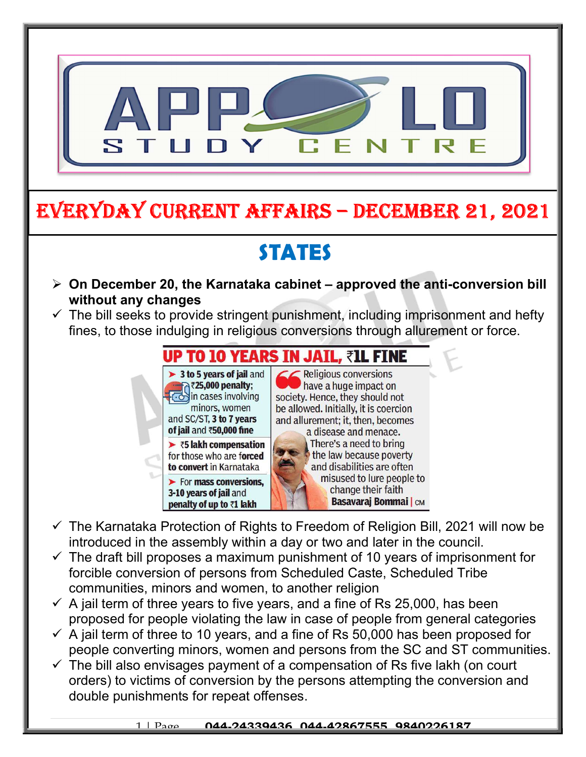

## EVERYDAY CURRENT AFFAIRS – DECEMBER 21, 2021

# **STATES**

- $\triangleright$  On December 20, the Karnataka cabinet approved the anti-conversion bill without any changes
- $\checkmark$  The bill seeks to provide stringent punishment, including imprisonment and hefty fines, to those indulging in religious conversions through allurement or force.



-

 $\leq$  Religious conversions have a huge impact on society. Hence, they should not be allowed. Initially, it is coercion and allurement; it, then, becomes a disease and menace. There's a need to bring the law because poverty and disabilities are often misused to lure people to change their faith **Basavaraj Bommai** | CM

- $\checkmark$  The Karnataka Protection of Rights to Freedom of Religion Bill, 2021 will now be introduced in the assembly within a day or two and later in the council.
- $\checkmark$  The draft bill proposes a maximum punishment of 10 years of imprisonment for forcible conversion of persons from Scheduled Caste, Scheduled Tribe communities, minors and women, to another religion
- $\checkmark$  A jail term of three years to five years, and a fine of Rs 25,000, has been proposed for people violating the law in case of people from general categories
- $\checkmark$  A jail term of three to 10 years, and a fine of Rs 50,000 has been proposed for people converting minors, women and persons from the SC and ST communities.
- $\checkmark$  The bill also envisages payment of a compensation of Rs five lakh (on court orders) to victims of conversion by the persons attempting the conversion and double punishments for repeat offenses.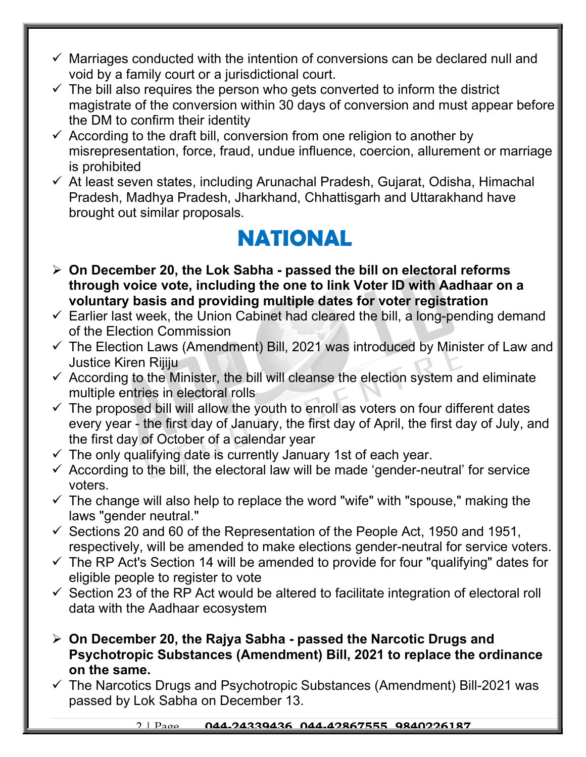- $\checkmark$  Marriages conducted with the intention of conversions can be declared null and void by a family court or a jurisdictional court.
- $\checkmark$  The bill also requires the person who gets converted to inform the district magistrate of the conversion within 30 days of conversion and must appear before the DM to confirm their identity
- $\checkmark$  According to the draft bill, conversion from one religion to another by misrepresentation, force, fraud, undue influence, coercion, allurement or marriage is prohibited
- $\checkmark$  At least seven states, including Arunachal Pradesh, Gujarat, Odisha, Himachal Pradesh, Madhya Pradesh, Jharkhand, Chhattisgarh and Uttarakhand have brought out similar proposals.

#### NATIONAL

- $\geq$  On December 20, the Lok Sabha passed the bill on electoral reforms through voice vote, including the one to link Voter ID with Aadhaar on a voluntary basis and providing multiple dates for voter registration
- $\checkmark$  Earlier last week, the Union Cabinet had cleared the bill, a long-pending demand of the Election Commission
- $\checkmark$  The Election Laws (Amendment) Bill, 2021 was introduced by Minister of Law and Justice Kiren Rijiju
- $\checkmark$  According to the Minister, the bill will cleanse the election system and eliminate multiple entries in electoral rolls
- $\checkmark$  The proposed bill will allow the youth to enroll as voters on four different dates every year - the first day of January, the first day of April, the first day of July, and the first day of October of a calendar year
- $\checkmark$  The only qualifying date is currently January 1st of each year.
- $\checkmark$  According to the bill, the electoral law will be made 'gender-neutral' for service voters.
- $\checkmark$  The change will also help to replace the word "wife" with "spouse," making the laws "gender neutral."
- $\checkmark$  Sections 20 and 60 of the Representation of the People Act, 1950 and 1951, respectively, will be amended to make elections gender-neutral for service voters.
- $\checkmark$  The RP Act's Section 14 will be amended to provide for four "qualifying" dates for eligible people to register to vote
- $\checkmark$  Section 23 of the RP Act would be altered to facilitate integration of electoral roll data with the Aadhaar ecosystem
- $\triangleright$  On December 20, the Rajya Sabha passed the Narcotic Drugs and Psychotropic Substances (Amendment) Bill, 2021 to replace the ordinance on the same.
- $\checkmark$  The Narcotics Drugs and Psychotropic Substances (Amendment) Bill-2021 was passed by Lok Sabha on December 13.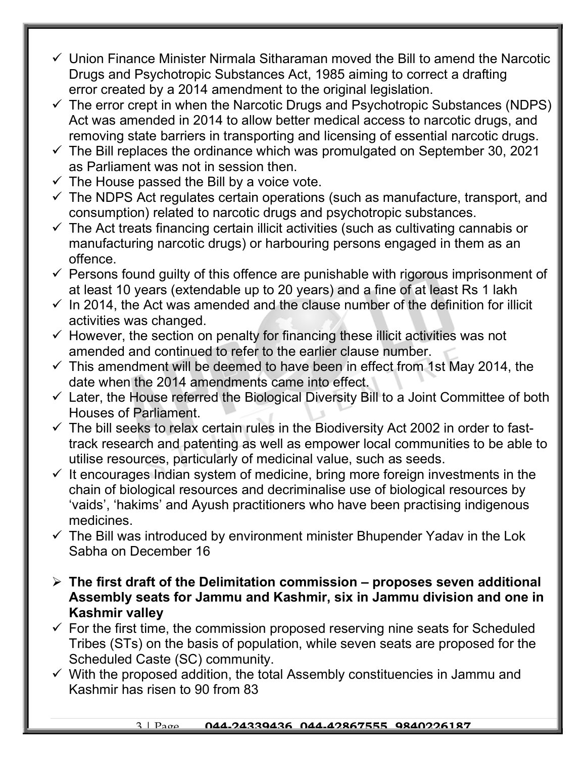- $\checkmark$  Union Finance Minister Nirmala Sitharaman moved the Bill to amend the Narcotic Drugs and Psychotropic Substances Act, 1985 aiming to correct a drafting error created by a 2014 amendment to the original legislation.
- $\checkmark$  The error crept in when the Narcotic Drugs and Psychotropic Substances (NDPS) Act was amended in 2014 to allow better medical access to narcotic drugs, and removing state barriers in transporting and licensing of essential narcotic drugs.
- $\checkmark$  The Bill replaces the ordinance which was promulgated on September 30, 2021 as Parliament was not in session then.
- $\checkmark$  The House passed the Bill by a voice vote.
- $\checkmark$  The NDPS Act regulates certain operations (such as manufacture, transport, and consumption) related to narcotic drugs and psychotropic substances.
- $\checkmark$  The Act treats financing certain illicit activities (such as cultivating cannabis or manufacturing narcotic drugs) or harbouring persons engaged in them as an offence.
- $\checkmark$  Persons found quilty of this offence are punishable with rigorous imprisonment of at least 10 years (extendable up to 20 years) and a fine of at least Rs 1 lakh
- $\checkmark$  In 2014, the Act was amended and the clause number of the definition for illicit activities was changed.
- $\checkmark$  However, the section on penalty for financing these illicit activities was not amended and continued to refer to the earlier clause number.
- $\checkmark$  This amendment will be deemed to have been in effect from 1st May 2014, the date when the 2014 amendments came into effect.
- $\checkmark$  Later, the House referred the Biological Diversity Bill to a Joint Committee of both Houses of Parliament.
- $\checkmark$  The bill seeks to relax certain rules in the Biodiversity Act 2002 in order to fasttrack research and patenting as well as empower local communities to be able to utilise resources, particularly of medicinal value, such as seeds.
- $\checkmark$  It encourages Indian system of medicine, bring more foreign investments in the chain of biological resources and decriminalise use of biological resources by 'vaids', 'hakims' and Ayush practitioners who have been practising indigenous medicines.
- $\checkmark$  The Bill was introduced by environment minister Bhupender Yadav in the Lok Sabha on December 16
- $\triangleright$  The first draft of the Delimitation commission proposes seven additional Assembly seats for Jammu and Kashmir, six in Jammu division and one in Kashmir valley
- $\checkmark$  For the first time, the commission proposed reserving nine seats for Scheduled Tribes (STs) on the basis of population, while seven seats are proposed for the Scheduled Caste (SC) community.
- $\checkmark$  With the proposed addition, the total Assembly constituencies in Jammu and Kashmir has risen to 90 from 83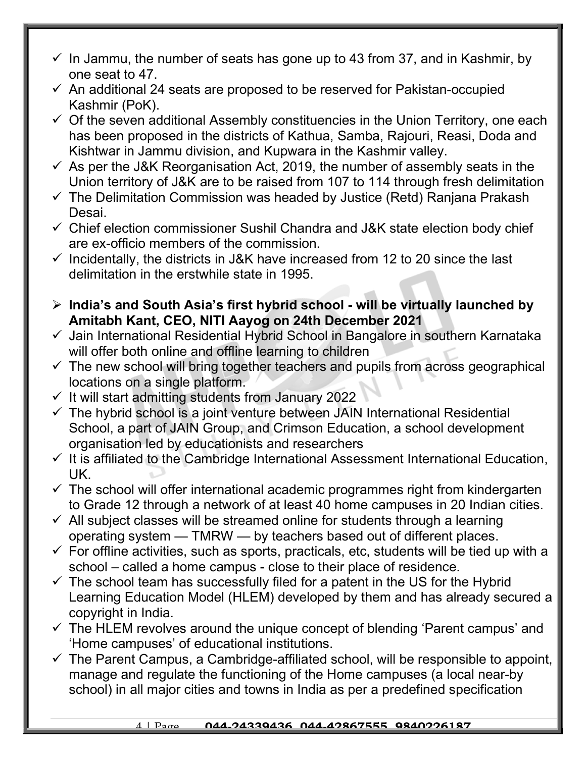- $\checkmark$  In Jammu, the number of seats has gone up to 43 from 37, and in Kashmir, by one seat to 47.
- $\checkmark$  An additional 24 seats are proposed to be reserved for Pakistan-occupied Kashmir (PoK).
- $\checkmark$  Of the seven additional Assembly constituencies in the Union Territory, one each has been proposed in the districts of Kathua, Samba, Rajouri, Reasi, Doda and Kishtwar in Jammu division, and Kupwara in the Kashmir valley.
- $\checkmark$  As per the J&K Reorganisation Act, 2019, the number of assembly seats in the Union territory of J&K are to be raised from 107 to 114 through fresh delimitation
- $\checkmark$  The Delimitation Commission was headed by Justice (Retd) Ranjana Prakash Desai.
- $\checkmark$  Chief election commissioner Sushil Chandra and J&K state election body chief are ex-officio members of the commission.
- $\checkmark$  Incidentally, the districts in J&K have increased from 12 to 20 since the last delimitation in the erstwhile state in 1995.
- $\triangleright$  India's and South Asia's first hybrid school will be virtually launched by Amitabh Kant, CEO, NITI Aayog on 24th December 2021
- $\checkmark$  Jain International Residential Hybrid School in Bangalore in southern Karnataka will offer both online and offline learning to children
- $\checkmark$  The new school will bring together teachers and pupils from across geographical locations on a single platform.
- $\checkmark$  It will start admitting students from January 2022
- $\checkmark$  The hybrid school is a joint venture between JAIN International Residential School, a part of JAIN Group, and Crimson Education, a school development organisation led by educationists and researchers
- $\checkmark$  It is affiliated to the Cambridge International Assessment International Education, UK.
- $\checkmark$  The school will offer international academic programmes right from kindergarten to Grade 12 through a network of at least 40 home campuses in 20 Indian cities.
- $\checkmark$  All subject classes will be streamed online for students through a learning operating system — TMRW — by teachers based out of different places.
- $\checkmark$  For offline activities, such as sports, practicals, etc, students will be tied up with a school – called a home campus - close to their place of residence.
- $\checkmark$  The school team has successfully filed for a patent in the US for the Hybrid Learning Education Model (HLEM) developed by them and has already secured a copyright in India.
- $\checkmark$  The HLEM revolves around the unique concept of blending 'Parent campus' and 'Home campuses' of educational institutions.
- $\checkmark$  The Parent Campus, a Cambridge-affiliated school, will be responsible to appoint, manage and regulate the functioning of the Home campuses (a local near-by school) in all major cities and towns in India as per a predefined specification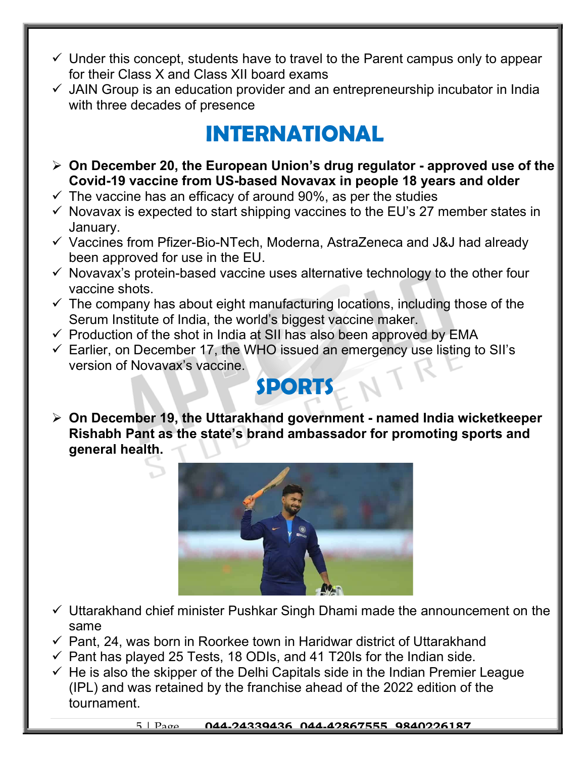- $\checkmark$  Under this concept, students have to travel to the Parent campus only to appear for their Class X and Class XII board exams
- $\checkmark$  JAIN Group is an education provider and an entrepreneurship incubator in India with three decades of presence

## INTERNATIONAL

- $\geq$  On December 20, the European Union's drug regulator approved use of the Covid-19 vaccine from US-based Novavax in people 18 years and older
- $\checkmark$  The vaccine has an efficacy of around 90%, as per the studies
- $\checkmark$  Novavax is expected to start shipping vaccines to the EU's 27 member states in January.
- $\checkmark$  Vaccines from Pfizer-Bio-NTech, Moderna, AstraZeneca and J&J had already been approved for use in the EU.
- $\checkmark$  Novavax's protein-based vaccine uses alternative technology to the other four vaccine shots.
- $\checkmark$  The company has about eight manufacturing locations, including those of the Serum Institute of India, the world's biggest vaccine maker.
- $\checkmark$  Production of the shot in India at SII has also been approved by EMA
- $\checkmark$  Earlier, on December 17, the WHO issued an emergency use listing to SII's version of Novavax's vaccine.

### **SPORTS**

 $\triangleright$  On December 19, the Uttarakhand government - named India wicketkeeper Rishabh Pant as the state's brand ambassador for promoting sports and general health.



- $\checkmark$  Uttarakhand chief minister Pushkar Singh Dhami made the announcement on the same
- $\checkmark$  Pant, 24, was born in Roorkee town in Haridwar district of Uttarakhand
- $\checkmark$  Pant has played 25 Tests, 18 ODIs, and 41 T20Is for the Indian side.
- $\checkmark$  He is also the skipper of the Delhi Capitals side in the Indian Premier League (IPL) and was retained by the franchise ahead of the 2022 edition of the tournament.